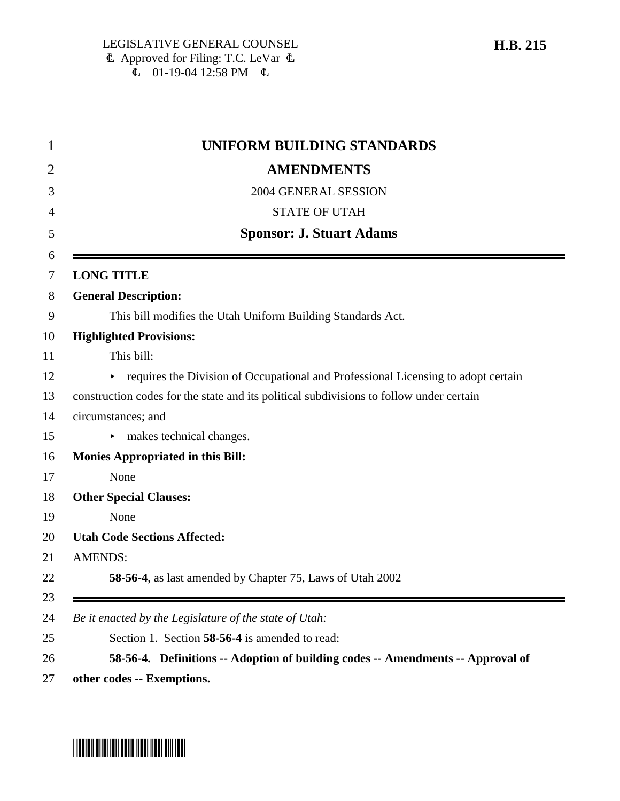| <b>UNIFORM BUILDING STANDARDS</b>                                                       |
|-----------------------------------------------------------------------------------------|
| <b>AMENDMENTS</b>                                                                       |
| 2004 GENERAL SESSION                                                                    |
| <b>STATE OF UTAH</b>                                                                    |
| <b>Sponsor: J. Stuart Adams</b>                                                         |
| <b>LONG TITLE</b>                                                                       |
| <b>General Description:</b>                                                             |
| This bill modifies the Utah Uniform Building Standards Act.                             |
| <b>Highlighted Provisions:</b>                                                          |
| This bill:                                                                              |
| requires the Division of Occupational and Professional Licensing to adopt certain<br>Þ. |
| construction codes for the state and its political subdivisions to follow under certain |
| circumstances; and                                                                      |
| makes technical changes.                                                                |
| <b>Monies Appropriated in this Bill:</b>                                                |
| None                                                                                    |
| <b>Other Special Clauses:</b>                                                           |
| None                                                                                    |
| <b>Utah Code Sections Affected:</b>                                                     |
| <b>AMENDS:</b>                                                                          |
| 58-56-4, as last amended by Chapter 75, Laws of Utah 2002                               |
| Be it enacted by the Legislature of the state of Utah:                                  |
| Section 1. Section 58-56-4 is amended to read:                                          |
| 58-56-4. Definitions -- Adoption of building codes -- Amendments -- Approval of         |

\*HB0215\*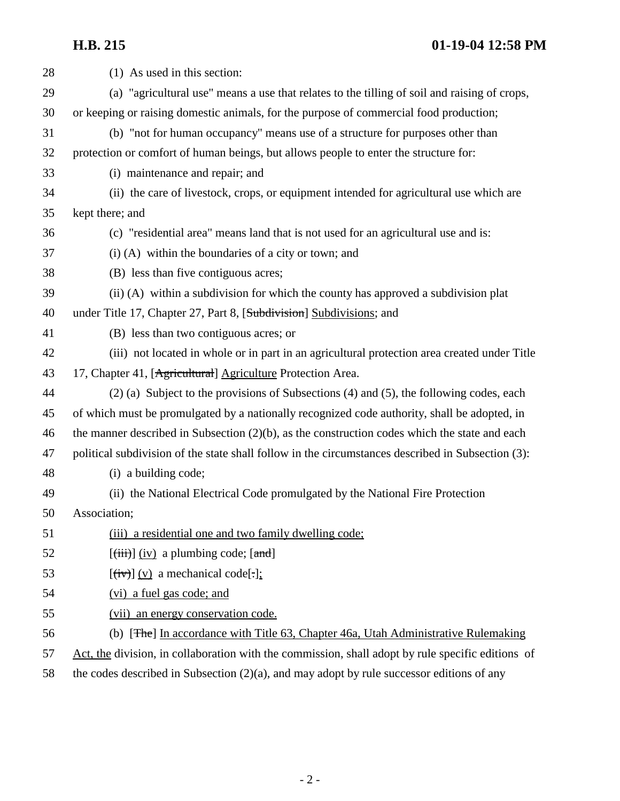**H.B. 215 01-19-04 12:58 PM**

| 28 | (1) As used in this section:                                                                      |
|----|---------------------------------------------------------------------------------------------------|
| 29 | (a) "agricultural use" means a use that relates to the tilling of soil and raising of crops,      |
| 30 | or keeping or raising domestic animals, for the purpose of commercial food production;            |
| 31 | (b) "not for human occupancy" means use of a structure for purposes other than                    |
| 32 | protection or comfort of human beings, but allows people to enter the structure for:              |
| 33 | (i) maintenance and repair; and                                                                   |
| 34 | (ii) the care of livestock, crops, or equipment intended for agricultural use which are           |
| 35 | kept there; and                                                                                   |
| 36 | (c) "residential area" means land that is not used for an agricultural use and is:                |
| 37 | $(i)$ (A) within the boundaries of a city or town; and                                            |
| 38 | (B) less than five contiguous acres;                                                              |
| 39 | $(ii)$ (A) within a subdivision for which the county has approved a subdivision plat              |
| 40 | under Title 17, Chapter 27, Part 8, [Subdivision] Subdivisions; and                               |
| 41 | (B) less than two contiguous acres; or                                                            |
| 42 | (iii) not located in whole or in part in an agricultural protection area created under Title      |
| 43 | 17, Chapter 41, [Agricultural] Agriculture Protection Area.                                       |
| 44 | $(2)$ (a) Subject to the provisions of Subsections (4) and (5), the following codes, each         |
| 45 | of which must be promulgated by a nationally recognized code authority, shall be adopted, in      |
| 46 | the manner described in Subsection $(2)(b)$ , as the construction codes which the state and each  |
| 47 | political subdivision of the state shall follow in the circumstances described in Subsection (3): |
| 48 | (i) a building code;                                                                              |
| 49 | (ii) the National Electrical Code promulgated by the National Fire Protection                     |
| 50 | Association;                                                                                      |
| 51 | (iii) a residential one and two family dwelling code;                                             |
| 52 | $[\overline{\text{(iii)}}]$ (iv) a plumbing code; $[\text{and}]$                                  |
| 53 | $[\overline{(iv)}]$ (v) a mechanical code[.];                                                     |
| 54 | (vi) a fuel gas code; and                                                                         |
| 55 | (vii) an energy conservation code.                                                                |
| 56 | (b) [The] In accordance with Title 63, Chapter 46a, Utah Administrative Rulemaking                |
| 57 | Act, the division, in collaboration with the commission, shall adopt by rule specific editions of |
| 58 | the codes described in Subsection $(2)(a)$ , and may adopt by rule successor editions of any      |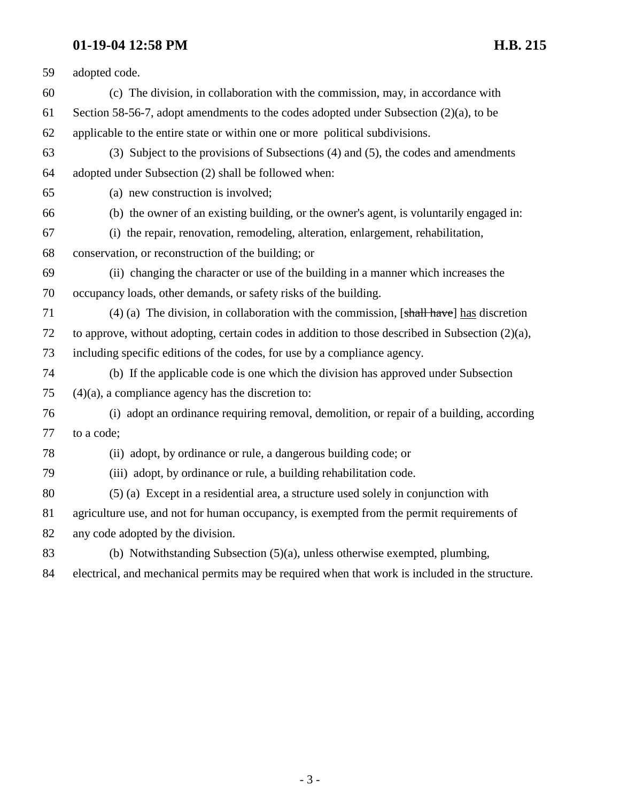# **01-19-04 12:58 PM H.B. 215**

| 59 | adopted code.                                                                                              |
|----|------------------------------------------------------------------------------------------------------------|
| 60 | (c) The division, in collaboration with the commission, may, in accordance with                            |
| 61 | Section 58-56-7, adopt amendments to the codes adopted under Subsection $(2)(a)$ , to be                   |
| 62 | applicable to the entire state or within one or more political subdivisions.                               |
| 63 | (3) Subject to the provisions of Subsections (4) and (5), the codes and amendments                         |
| 64 | adopted under Subsection (2) shall be followed when:                                                       |
| 65 | (a) new construction is involved;                                                                          |
| 66 | (b) the owner of an existing building, or the owner's agent, is voluntarily engaged in:                    |
| 67 | (i) the repair, renovation, remodeling, alteration, enlargement, rehabilitation,                           |
| 68 | conservation, or reconstruction of the building; or                                                        |
| 69 | (ii) changing the character or use of the building in a manner which increases the                         |
| 70 | occupancy loads, other demands, or safety risks of the building.                                           |
| 71 | (4) (a) The division, in collaboration with the commission, $[\frac{shall \; have}{shal}]\$ has discretion |
| 72 | to approve, without adopting, certain codes in addition to those described in Subsection $(2)(a)$ ,        |
| 73 | including specific editions of the codes, for use by a compliance agency.                                  |
| 74 | (b) If the applicable code is one which the division has approved under Subsection                         |
| 75 | $(4)(a)$ , a compliance agency has the discretion to:                                                      |
| 76 | (i) adopt an ordinance requiring removal, demolition, or repair of a building, according                   |
| 77 | to a code;                                                                                                 |
| 78 | (ii) adopt, by ordinance or rule, a dangerous building code; or                                            |
| 79 | (iii) adopt, by ordinance or rule, a building rehabilitation code.                                         |
| 80 | (5) (a) Except in a residential area, a structure used solely in conjunction with                          |
| 81 | agriculture use, and not for human occupancy, is exempted from the permit requirements of                  |
| 82 | any code adopted by the division.                                                                          |
| 83 | (b) Notwithstanding Subsection $(5)(a)$ , unless otherwise exempted, plumbing,                             |
| 84 | electrical, and mechanical permits may be required when that work is included in the structure.            |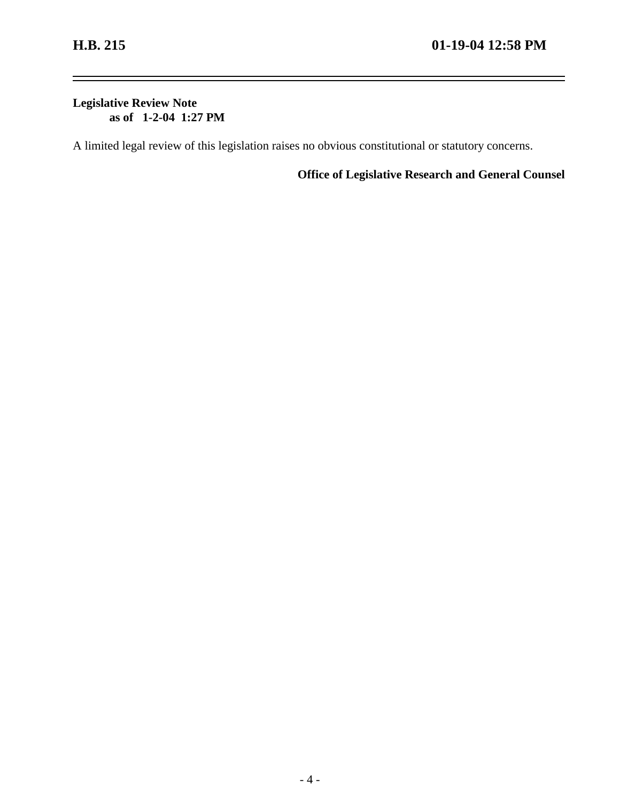$\equiv$ 

### **Legislative Review Note as of 1-2-04 1:27 PM**

A limited legal review of this legislation raises no obvious constitutional or statutory concerns.

**Office of Legislative Research and General Counsel**